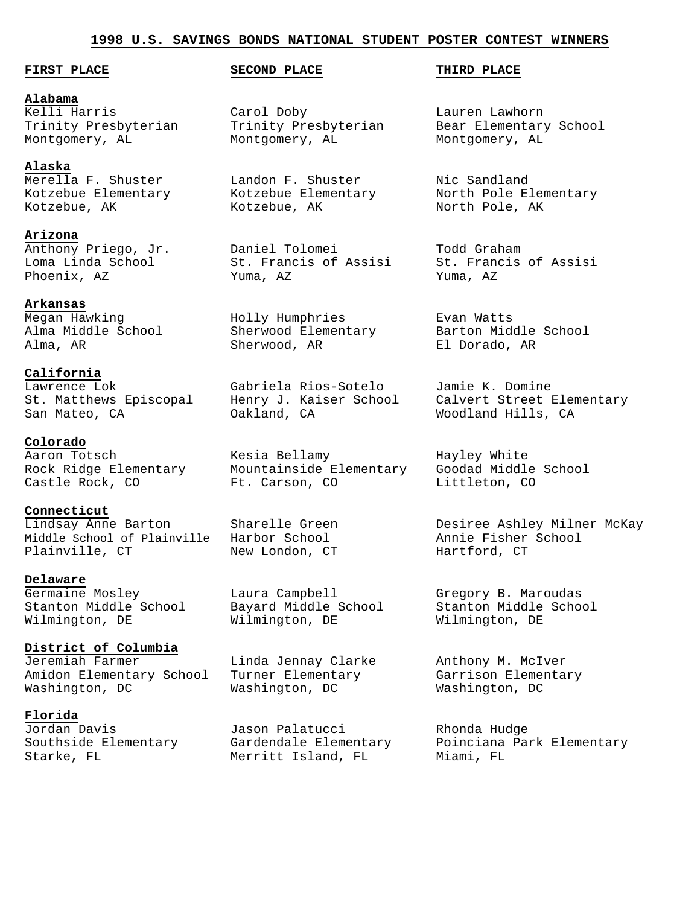#### **1998 U.S. SAVINGS BONDS NATIONAL STUDENT POSTER CONTEST WINNERS**

#### **FIRST PLACE SECOND PLACE THIRD PLACE**

**Alabama** Kelli Harris Carol Doby Lauren Lawhorn

#### **Alaska**

Kotzebue, AK Kotzebue, AK North Pole, AK

**Arizona**

**Arkansas**<br>Megan Hawking<br>Alma Middle School

**California**

**Colorado**

**Connecticut** Middle School of Plainville Harbor School Annie Fisher School Plainville, CT New London, CT Hartford, CT

#### **Delaware**

Germaine Mosley Laura Campbell Gregory B. Maroudas Stanton Middle School Bayard Middle School Stanton Middle School Wilmington, DE Wilmington, DE Wilmington, DE

# **District of Columbia**

Amidon Elementary School Turner Elementary Garrison Elementary Washington, DC Washington, DC Washington, DC

### **Florida**

Montgomery, AL Montgomery, AL Montgomery, AL

Merella F. Shuster Landon F. Shuster Nic Sandland

Anthony Priego, Jr. Daniel Tolomei Todd Graham Loma Linda School St. Francis of Assisi St. Francis of Assisi Phoenix, AZ Yuma, AZ Yuma, AZ

Megan Hawking Holly Humphries Evan Watts Alma, AR Sherwood, AR El Dorado, AR

Lawrence Lok Gabriela Rios-Sotelo Jamie K. Domine San Mateo, CA Oakland, CA Woodland Hills, CA

Aaron Totsch Kesia Bellamy Hayley White Rock Ridge Elementary Mountainside Elementary Goodad Middle School Castle Rock, CO Ft. Carson, CO Littleton, CO

Linda Jennay Clarke Anthony M. McIver<br>Turner Elementary Garrison Elementary<br>Washington, DC Washington, DC

Jordan Davis Jason Palatucci Rhonda Hudge Starke, FL Merritt Island, FL Miami, FL

Trinity Presbyterian Trinity Presbyterian Bear Elementary School

Kotzebue Elementary Kotzebue Elementary North Pole Elementary

Alma Middle School Sherwood Elementary Barton Middle School

St. Matthews Episcopal Henry J. Kaiser School Calvert Street Elementary

Lindsay Anne Barton Sharelle Green Desiree Ashley Milner McKay

Southside Elementary Gardendale Elementary Poinciana Park Elementary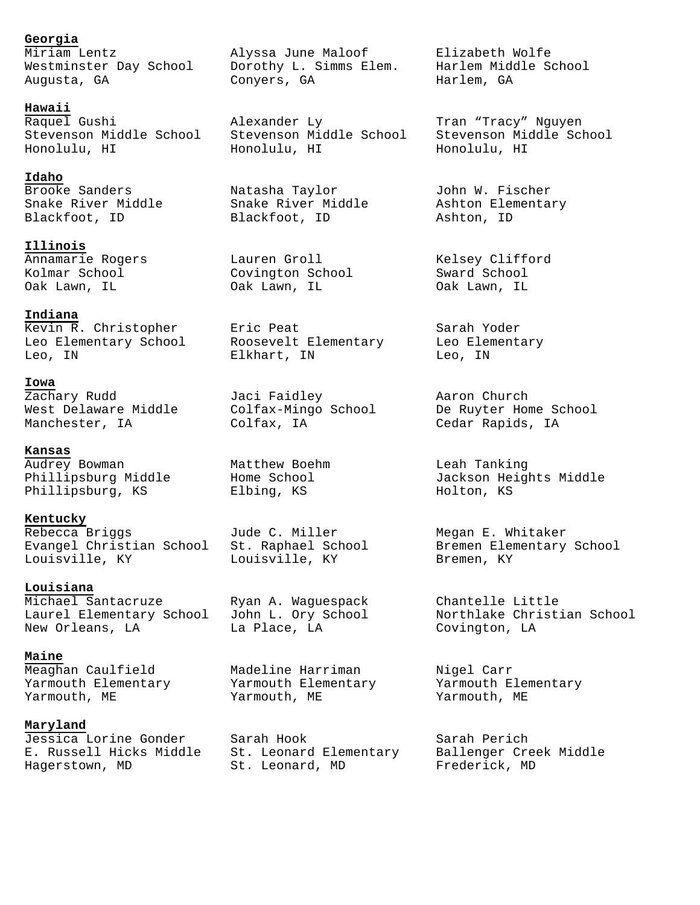**Georgia**

**Hawaii**

**Idaho**

**Illinois** Annamarie Rogers Lauren Groll Kelsey Clifford Kolmar School Covington School Sward School Oak Lawn, IL Oak Lawn, IL Oak Lawn, IL

**Indiana** Kevin R. Christopher Eric Peat Sarah Yoder Leo Elementary School Roosevelt Elementary Leo Elementary Leo, IN Elkhart, IN Leo, IN

**Iowa**

**Kansas** Audrey Bowman Matthew Boehm Leah Tanking Phillipsburg, KS Elbing, KS Holton, KS

**Kentucky** Rebecca Briggs Jude C. Miller Megan E. Whitaker Louisville, KY Louisville, KY Bremen, KY

**Louisiana** Michael Santacruze Ryan A. Waguespack Chantelle Little New Orleans, LA La Place, LA Covington, LA

**Maine** Meaghan Caulfield Madeline Harriman Nigel Carr Yarmouth Elementary Yarmouth Elementary Yarmouth Elementary Yarmouth, ME Yarmouth, ME Yarmouth, ME

**Maryland**

E. Russell Hicks Middle St. Leonard Elementary Ballenger Creek Middle Hagerstown, MD St. Leonard, MD Frederick, MD

Miriam Lentz Alyssa June Maloof Elizabeth Wolfe Westminster Day School Dorothy L. Simms Elem. Harlem Middle School Augusta, GA Conyers, GA Harlem, GA

Raquel Gushi Alexander Ly Tran "Tracy" Nguyen Stevenson Middle School Stevenson Middle School Stevenson Middle School Honolulu, HI Honolulu, HI Honolulu, HI

Brooke Sanders Natasha Taylor John W. Fischer Snake River Middle Snake River Middle Ashton Elementary Blackfoot, ID Blackfoot, ID Ashton, ID

Zachary Rudd Jaci Faidley Aaron Church Manchester, IA Colfax, IA Cedar Rapids, IA

Jessica Lorine Gonder Sarah Hook Sarah Perich

West Delaware Middle Colfax-Mingo School De Ruyter Home School

Phillipsburg Middle Mome School and Jackson Heights Middle

Evangel Christian School St. Raphael School Bremen Elementary School

Laurel Elementary School John L. Ory School Morthlake Christian School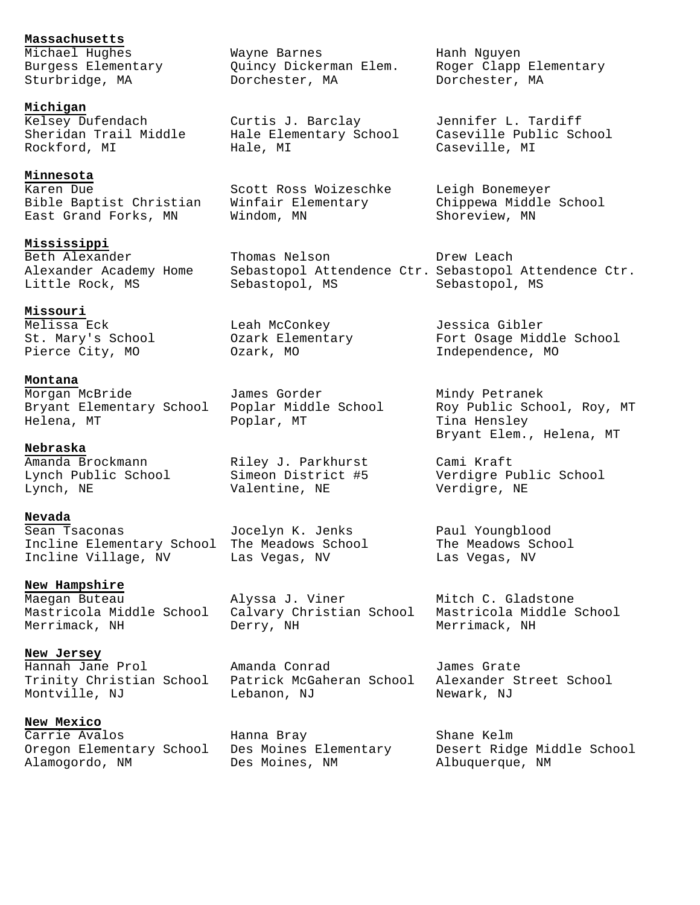**Massachusetts**<br>Michael Hughes<br>Burgess Elementary<br>Sturbridge, MA

**Michigan**

**Minnesota** Karen Due Scott Ross Woizeschke Leigh Bonemeyer Bible Baptist Christian Winfair Elementary Chippewa Middle School East Grand Forks, MN Mindom, MN Nindom Shoreview, MN

**Mississippi**

**Missouri**

**Montana** Morgan McBride James Gorder Mindy Petranek

**Nebraska** Amanda Brockmann Riley J. Parkhurst Cami Kraft

**Nevada** Sean Tsaconas Jocelyn K. Jenks Paul Youngblood Incline Elementary School The Meadows School The Meadows School Incline Village, NV Las Vegas, NV Las Vegas, NV

**New Hampshire** New nampsiile<br>Maegan Buteau Alyssa J. Viner Mitch C. Gladstone

**New Jersey**

**New Mexico** Carrie Avalos Hanna Bray Shane Kelm Alamogordo, NM Des Moines, NM Albuquerque, NM

Michael Hughes Wayne Barnes Hanh Nguyen Burgess Elementary Quincy Dickerman Elem. Roger Clapp Elementary Sturbridge, MA Dorchester, MA Dorchester, MA

Kelsey Dufendach Curtis J. Barclay Jennifer L. Tardiff Rockford, MI Hale, MI Caseville, MI

Beth Alexander **Thomas Nelson** Drew Leach Little Rock, MS Sebastopol, MS Sebastopol, MS

Melissa Eck Leah McConkey Jessica Gibler Pierce City, MO  $Ozark$ , MO Independence, MO

Helena, MT Poplar, MT Tina Hensley

Lynch, NE Valentine, NE Verdigre, NE

Mastricola Middle School Calvary Christian School Mastricola Middle School Merrimack, NH Derry, NH Merrimack, NH

Hannah Jane Prol Amanda Conrad James Grate Trinity Christian School Patrick McGaheran School Alexander Street School Montville, NJ Lebanon, NJ Newark, NJ

Sheridan Trail Middle Hale Elementary School Caseville Public School

Alexander Academy Home Sebastopol Attendence Ctr. Sebastopol Attendence Ctr.

St. Mary's School Ozark Elementary Fort Osage Middle School

Bryant Elementary School Poplar Middle School Roy Public School, Roy, MT Bryant Elem., Helena, MT

Lynch Public School Simeon District #5 Verdigre Public School

Oregon Elementary School Des Moines Elementary Desert Ridge Middle School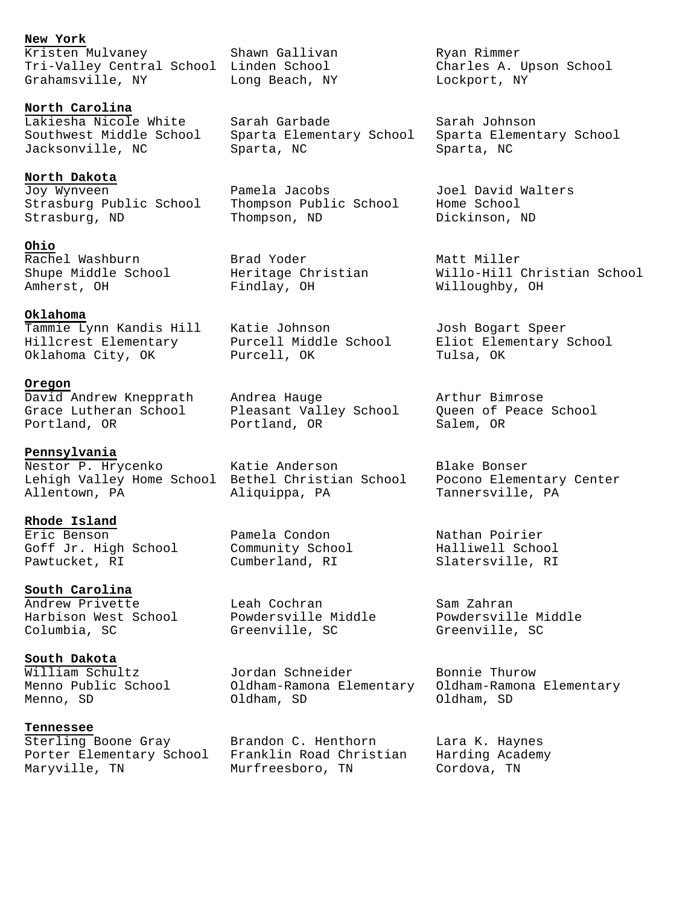# **New York**

Kristen Mulvaney Shawn Gallivan Ryan Rimmer Tri-Valley Central School Linden School Charles A. Upson School Grahamsville, NY Long Beach, NY Lockport, NY

**North Carolina**

**North Dakota** Joy Wynveen Pamela Jacobs Joel David Walters Strasburg Public School Thompson Public School Home School Strasburg, ND Thompson, ND Dickinson, ND

**Ohio** Rachel Washburn Brad Yoder Matt Miller

#### **Oklahoma**

Hillcrest Elementary Purcell Middle School Eliot Elementary School Oklahoma City, OK Purcell, OK Tulsa, OK

#### **Oregon**

#### **Pennsylvania**

Lehigh Valley Home School Bethel Christian School Pocono Elementary Center Allentown, PA Aliquippa, PA Tannersville, PA

**Rhode Island** Eric Benson Pamela Condon Nathan Poirier Goff Jr. High School Community School Malliwell School Pawtucket, RI Cumberland, RI Slatersville, RI

### **South Carolina**

Harbison West School Powdersville Middle Powdersville Middle Columbia, SC Greenville, SC Greenville, SC

**South Dakota**<br>William Schultz<br>Menno Public School

### **Tennessee**

Porter Elementary School Franklin Road Christian Harding Academy Maryville, TN Murfreesboro, TN Cordova, TN

Lakiesha Nicole White Sarah Garbade Sarah Johnson Southwest Middle School Sparta Elementary School Sparta Elementary School Jacksonville, NC Sparta, NC Sparta, NC

Amherst, OH Findlay, OH Willoughby, OH

Tammie Lynn Kandis Hill Katie Johnson Josh Bogart Speer

David Andrew Knepprath Andrea Hauge Arthur Bimrose Grace Lutheran School Pleasant Valley School Queen of Peace School Portland, OR Portland, OR Salem, OR

Nestor P. Hrycenko Katie Anderson Blake Bonser

Andrew Privette Leah Cochran Sam Zahran

William Schultz Jordan Schneider Bonnie Thurow Menno Public School Oldham-Ramona Elementary Oldham-Ramona Elementary Menno, SD Oldham, SD Oldham, SD

Sterling Boone Gray (Brandon C. Henthorn Kara K. Haynes

Shupe Middle School Heritage Christian Willo-Hill Christian School